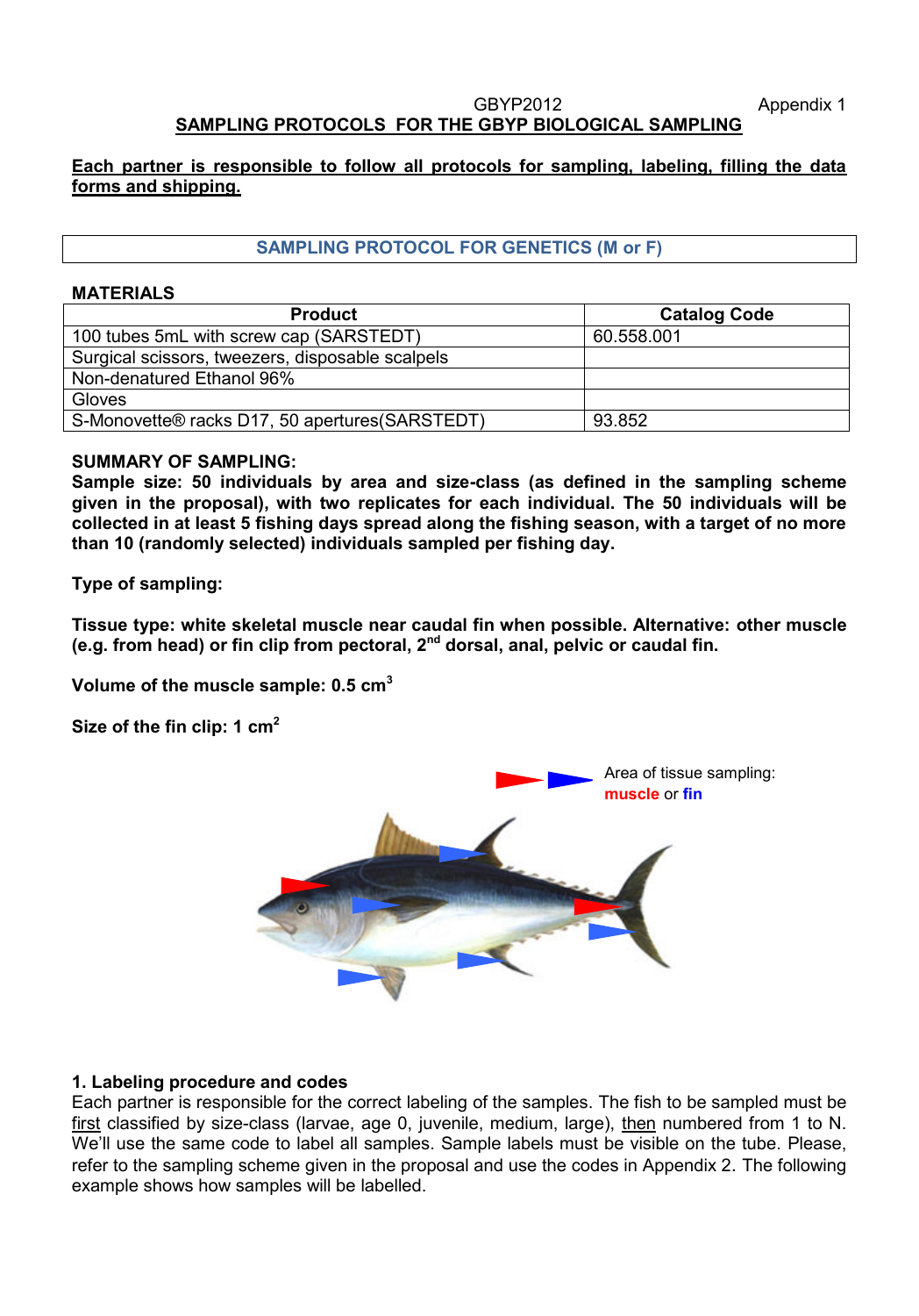#### GBYP2012 Appendix 1 **SAMPLING PROTOCOLS FOR THE GBYP BIOLOGICAL SAMPLING**

### **Each partner is responsible to follow all protocols for sampling, labeling, filling the data forms and shipping.**

# **SAMPLING PROTOCOL FOR GENETICS (M or F)**

### **MATERIALS**

| <b>Product</b>                                   | <b>Catalog Code</b> |
|--------------------------------------------------|---------------------|
| 100 tubes 5mL with screw cap (SARSTEDT)          | 60.558.001          |
| Surgical scissors, tweezers, disposable scalpels |                     |
| Non-denatured Ethanol 96%                        |                     |
| Gloves                                           |                     |
| S-Monovette® racks D17, 50 apertures (SARSTEDT)  | 93.852              |

#### **SUMMARY OF SAMPLING:**

**Sample size: 50 individuals by area and size-class (as defined in the sampling scheme given in the proposal), with two replicates for each individual. The 50 individuals will be collected in at least 5 fishing days spread along the fishing season, with a target of no more than 10 (randomly selected) individuals sampled per fishing day.**

**Type of sampling:**

**Tissue type: white skeletal muscle near caudal fin when possible. Alternative: other muscle (e.g. from head) or fin clip from pectoral, 2nd dorsal, anal, pelvic or caudal fin.**

**Volume of the muscle sample: 0.5 cm<sup>3</sup>**

**Size of the fin clip: 1 cm<sup>2</sup>**



## **1. Labeling procedure and codes**

Each partner is responsible for the correct labeling of the samples. The fish to be sampled must be first classified by size-class (larvae, age 0, juvenile, medium, large), then numbered from 1 to N. We'll use the same code to label all samples. Sample labels must be visible on the tube. Please, refer to the sampling scheme given in the proposal and use the codes in Appendix 2. The following example shows how samples will be labelled.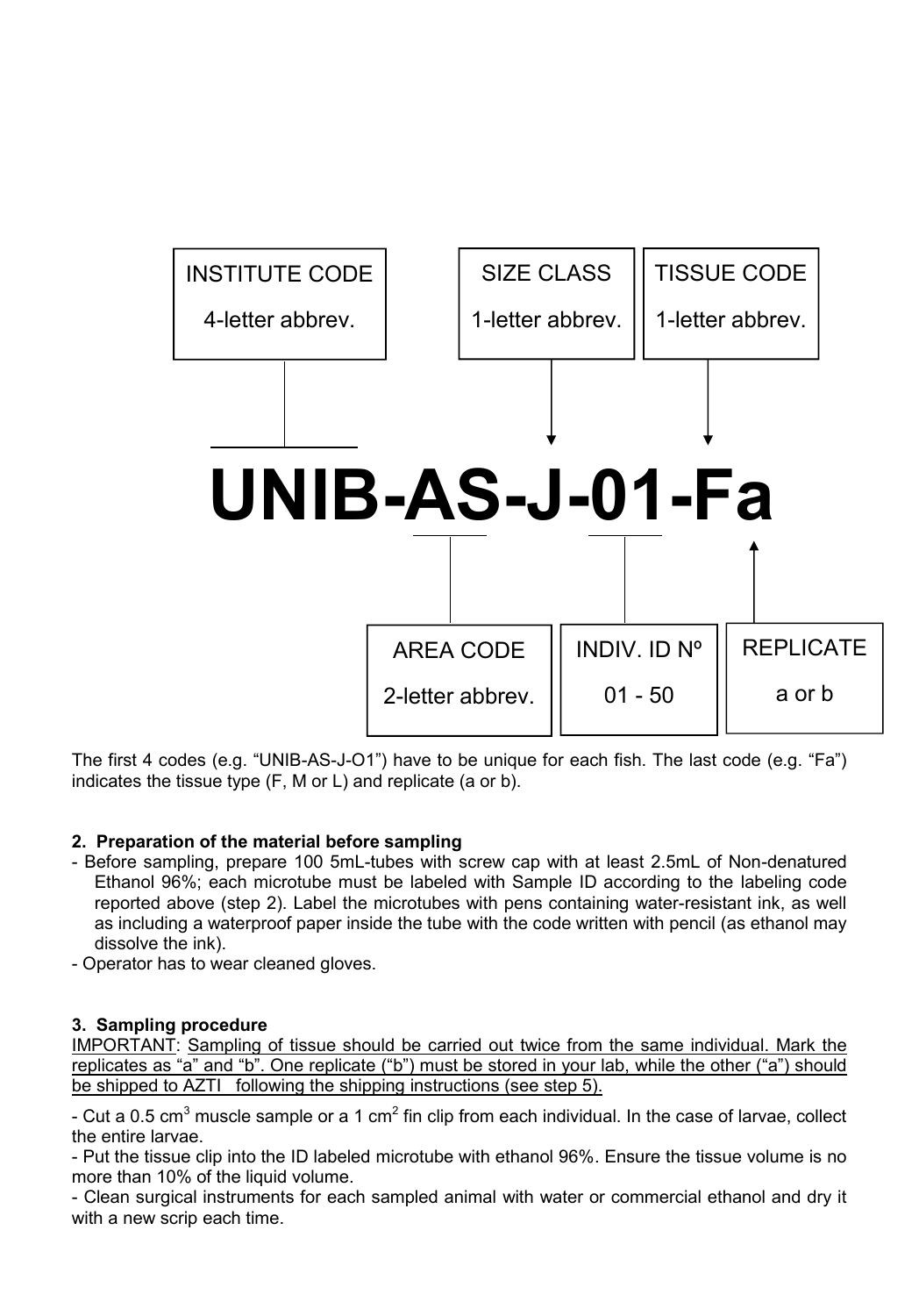

The first 4 codes (e.g. "UNIB-AS-J-O1") have to be unique for each fish. The last code (e.g. "Fa") indicates the tissue type (F, M or L) and replicate (a or b).

# **2. Preparation of the material before sampling**

- Before sampling, prepare 100 5mL-tubes with screw cap with at least 2.5mL of Non-denatured Ethanol 96%; each microtube must be labeled with Sample ID according to the labeling code reported above (step 2). Label the microtubes with pens containing water-resistant ink, as well as including a waterproof paper inside the tube with the code written with pencil (as ethanol may dissolve the ink).
- Operator has to wear cleaned gloves.

# **3. Sampling procedure**

IMPORTANT: Sampling of tissue should be carried out twice from the same individual. Mark the replicates as "a" and "b". One replicate ("b") must be stored in your lab, while the other ("a") should be shipped to AZTI following the shipping instructions (see step 5).

- Cut a 0.5 cm<sup>3</sup> muscle sample or a 1 cm<sup>2</sup> fin clip from each individual. In the case of larvae, collect the entire larvae.

- Put the tissue clip into the ID labeled microtube with ethanol 96%. Ensure the tissue volume is no more than 10% of the liquid volume.

- Clean surgical instruments for each sampled animal with water or commercial ethanol and dry it with a new scrip each time.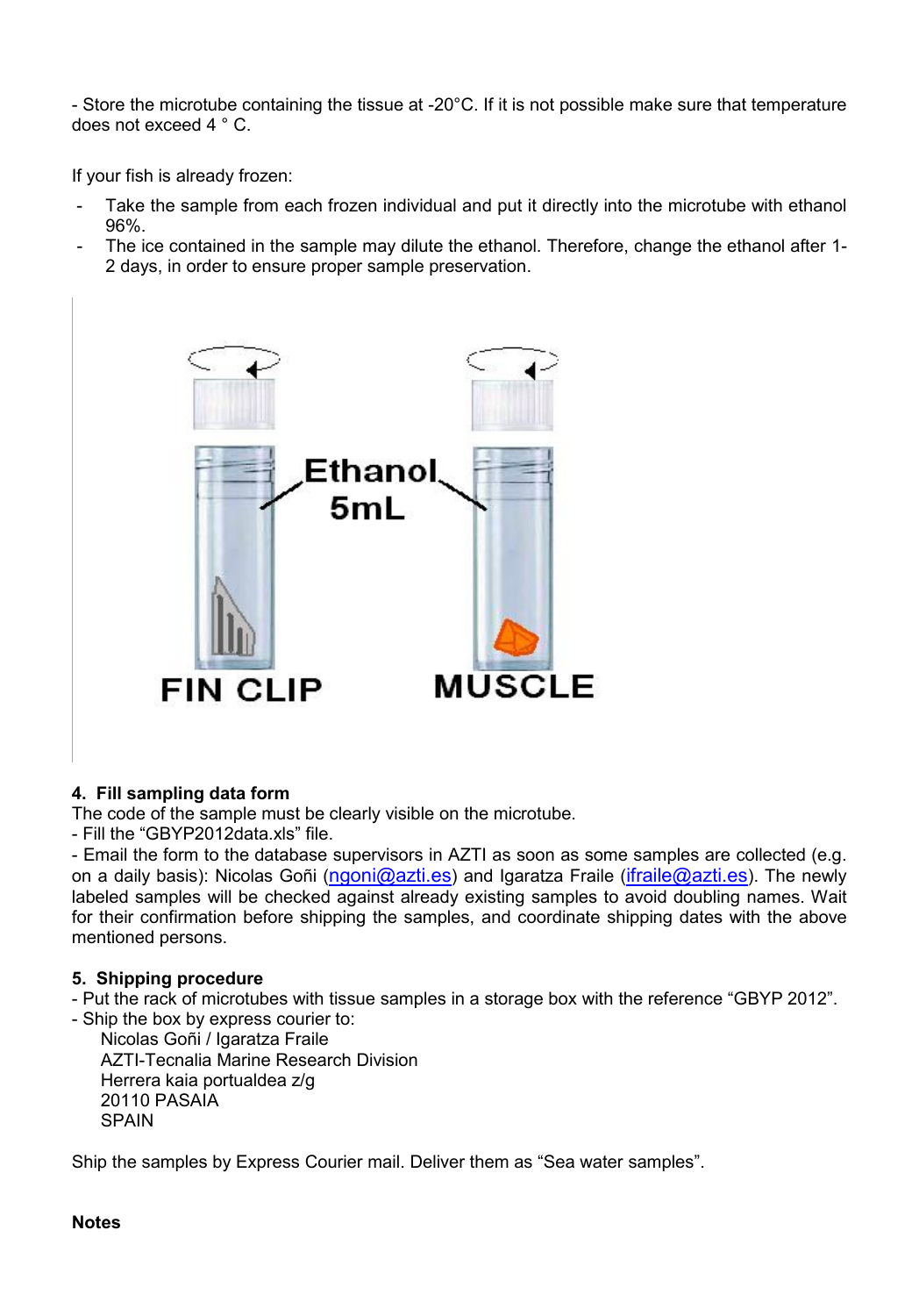- Store the microtube containing the tissue at -20°C. If it is not possible make sure that temperature does not exceed 4 ° C.

If your fish is already frozen:

- Take the sample from each frozen individual and put it directly into the microtube with ethanol 96%.
- The ice contained in the sample may dilute the ethanol. Therefore, change the ethanol after 1- 2 days, in order to ensure proper sample preservation.



## **4. Fill sampling data form**

The code of the sample must be clearly visible on the microtube.

- Fill the "GBYP2012data.xls" file.

- Email the form to the database supervisors in AZTI as soon as some samples are collected (e.g. on a daily basis): Nicolas Goñi (ngoni@azti.es) and Igaratza Fraile (ifraile@azti.es). The newly labeled samples will be checked against already existing samples to avoid doubling names. Wait for their confirmation before shipping the samples, and coordinate shipping dates with the above mentioned persons.

#### **5. Shipping procedure**

- Put the rack of microtubes with tissue samples in a storage box with the reference "GBYP 2012". - Ship the box by express courier to:

Nicolas Goñi / Igaratza Fraile AZTI-Tecnalia Marine Research Division Herrera kaia portualdea z/g 20110 PASAIA **SPAIN** 

Ship the samples by Express Courier mail. Deliver them as "Sea water samples".

#### **Notes**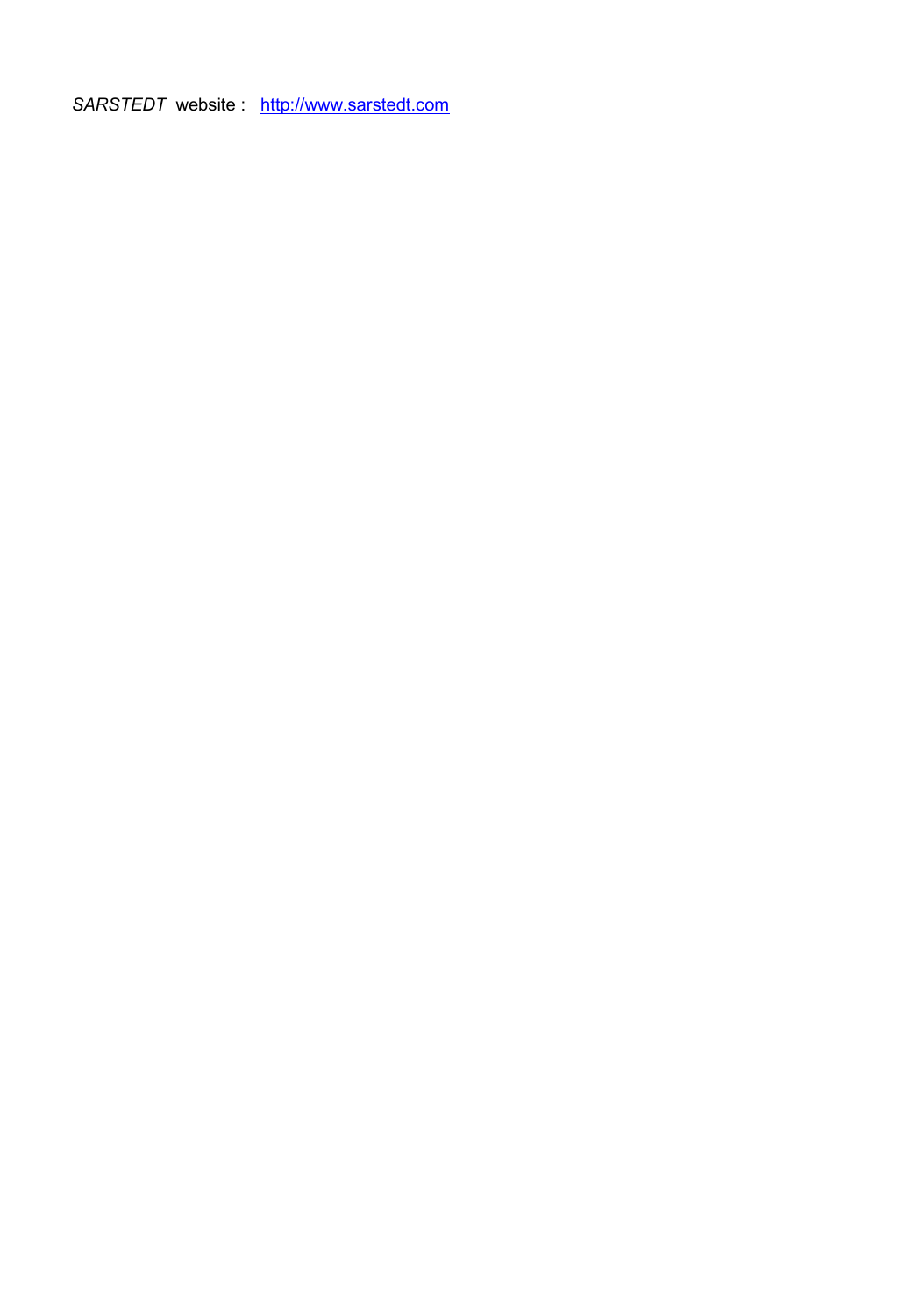SARSTEDT website : http://www.sarstedt.com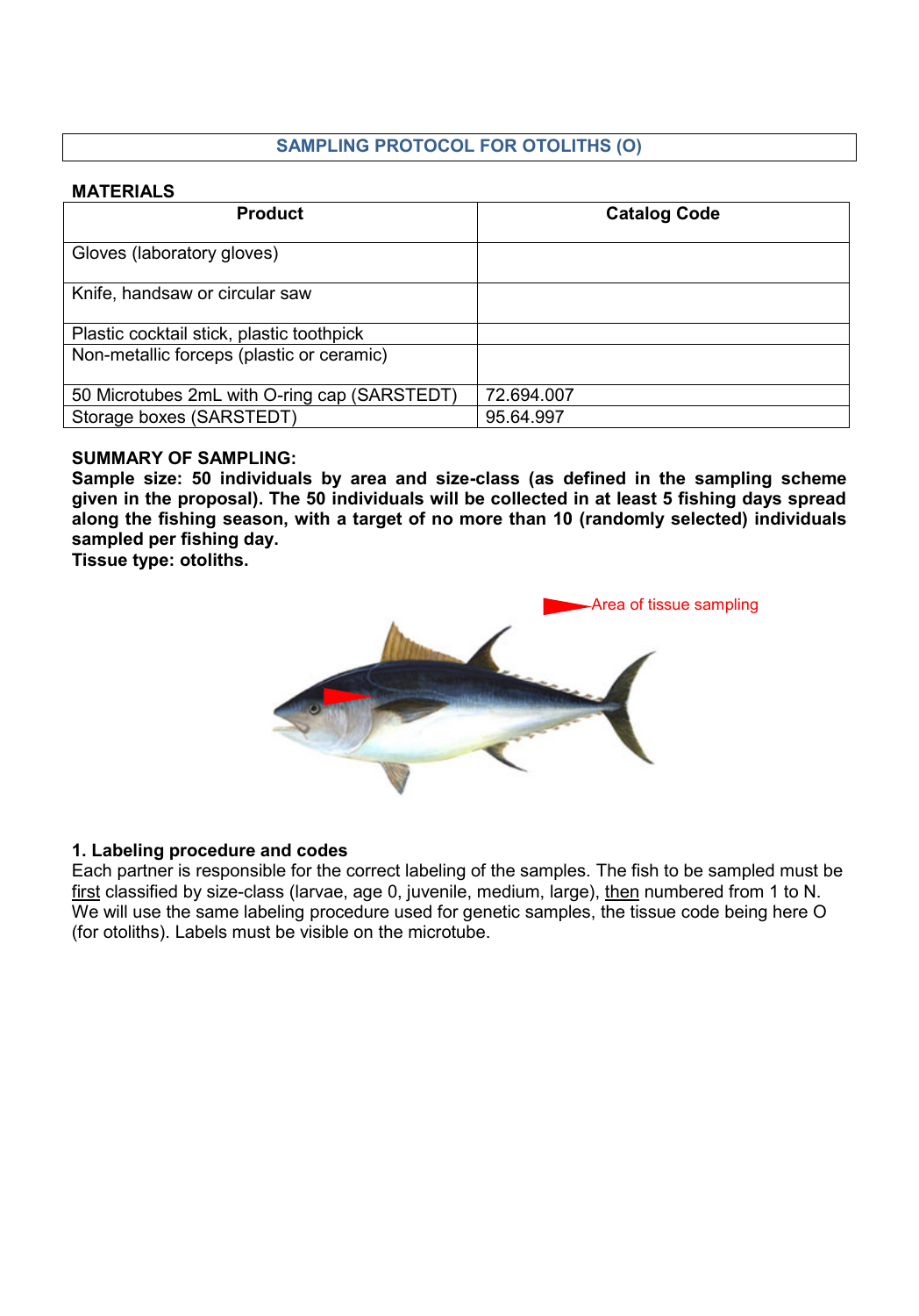# **SAMPLING PROTOCOL FOR OTOLITHS (O)**

### **MATERIALS**

| <b>Product</b>                               | <b>Catalog Code</b> |
|----------------------------------------------|---------------------|
| Gloves (laboratory gloves)                   |                     |
| Knife, handsaw or circular saw               |                     |
| Plastic cocktail stick, plastic toothpick    |                     |
| Non-metallic forceps (plastic or ceramic)    |                     |
| 50 Microtubes 2mL with O-ring cap (SARSTEDT) | 72.694.007          |
| Storage boxes (SARSTEDT)                     | 95.64.997           |

### **SUMMARY OF SAMPLING:**

**Sample size: 50 individuals by area and size-class (as defined in the sampling scheme given in the proposal). The 50 individuals will be collected in at least 5 fishing days spread along the fishing season, with a target of no more than 10 (randomly selected) individuals sampled per fishing day.**

**Tissue type: otoliths.**



## **1. Labeling procedure and codes**

Each partner is responsible for the correct labeling of the samples. The fish to be sampled must be first classified by size-class (larvae, age 0, juvenile, medium, large), then numbered from 1 to N. We will use the same labeling procedure used for genetic samples, the tissue code being here O (for otoliths). Labels must be visible on the microtube.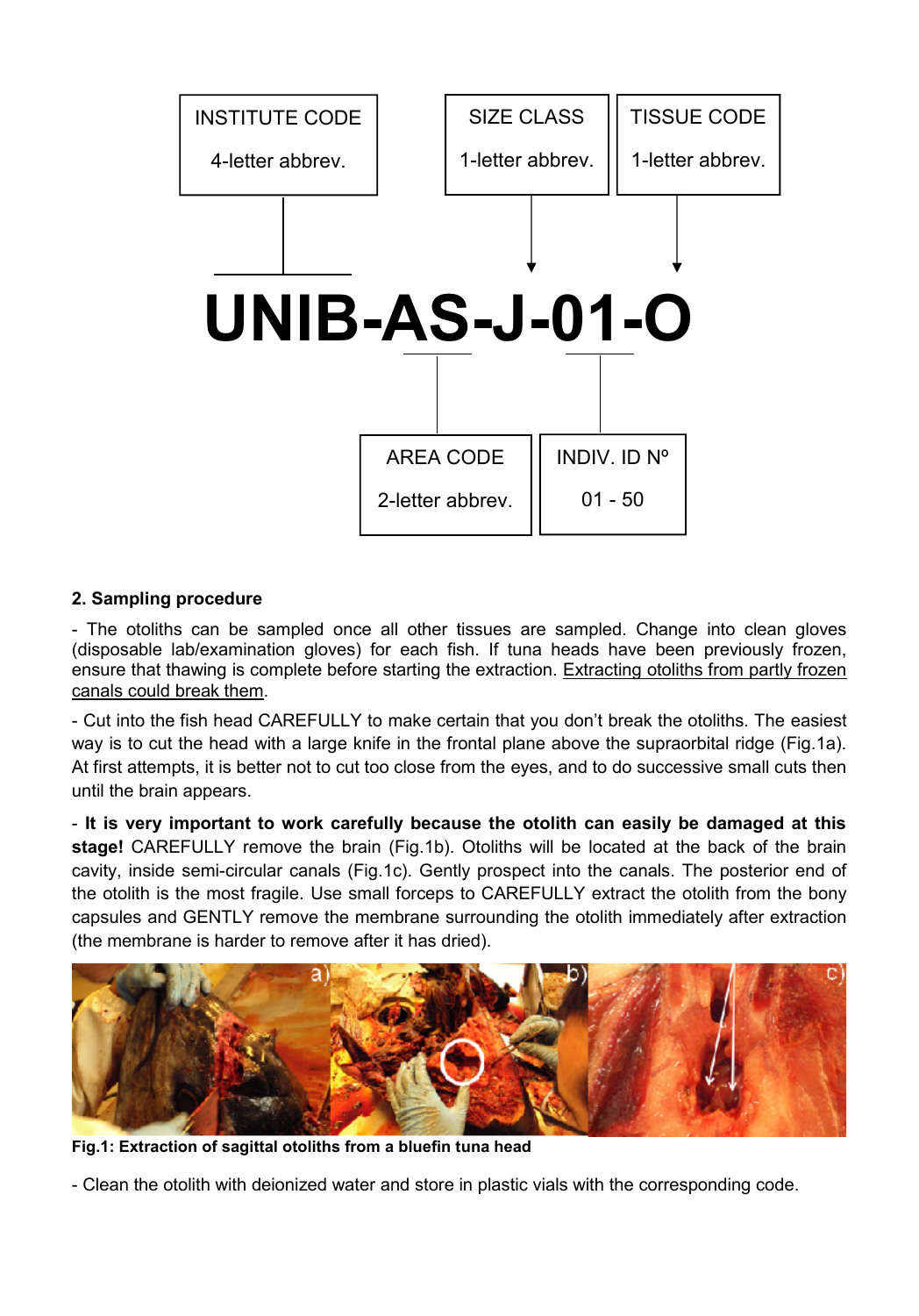

## **2. Sampling procedure**

- The otoliths can be sampled once all other tissues are sampled. Change into clean gloves (disposable lab/examination gloves) for each fish. If tuna heads have been previously frozen, ensure that thawing is complete before starting the extraction. Extracting otoliths from partly frozen canals could break them.

- Cut into the fish head CAREFULLY to make certain that you don't break the otoliths. The easiest way is to cut the head with a large knife in the frontal plane above the supraorbital ridge (Fig.1a). At first attempts, it is better not to cut too close from the eyes, and to do successive small cuts then until the brain appears.

- **It is very important to work carefully because the otolith can easily be damaged at this stage!** CAREFULLY remove the brain (Fig.1b). Otoliths will be located at the back of the brain cavity, inside semi-circular canals (Fig.1c). Gently prospect into the canals. The posterior end of the otolith is the most fragile. Use small forceps to CAREFULLY extract the otolith from the bony capsules and GENTLY remove the membrane surrounding the otolith immediately after extraction (the membrane is harder to remove after it has dried).



**Fig.1: Extraction of sagittal otoliths from a bluefin tuna head**

- Clean the otolith with deionized water and store in plastic vials with the corresponding code.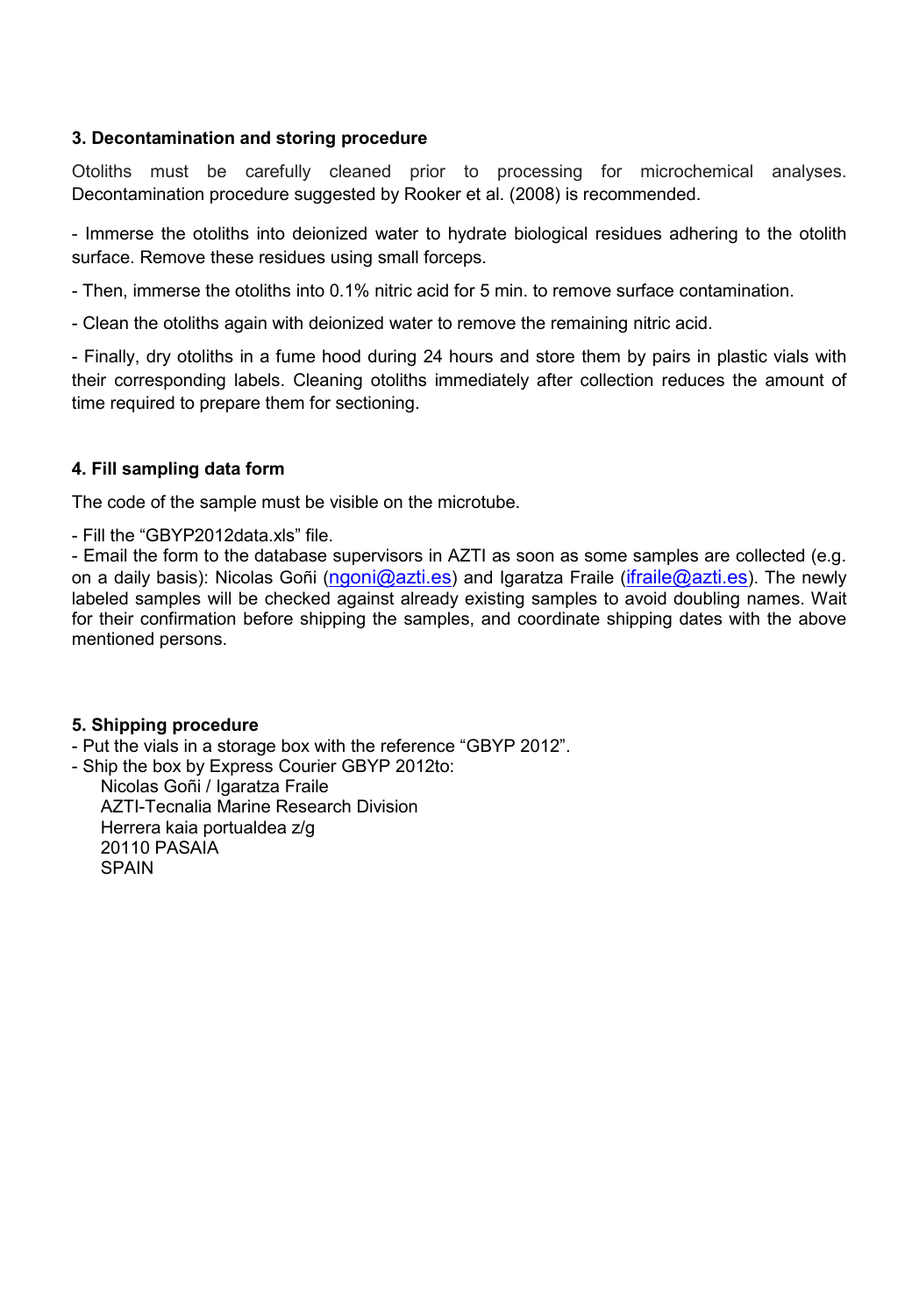## **3. Decontamination and storing procedure**

Otoliths must be carefully cleaned prior to processing for microchemical analyses. Decontamination procedure suggested by Rooker et al. (2008) is recommended.

- Immerse the otoliths into deionized water to hydrate biological residues adhering to the otolith surface. Remove these residues using small forceps.

- Then, immerse the otoliths into 0.1% nitric acid for 5 min. to remove surface contamination.

- Clean the otoliths again with deionized water to remove the remaining nitric acid.

- Finally, dry otoliths in a fume hood during 24 hours and store them by pairs in plastic vials with their corresponding labels. Cleaning otoliths immediately after collection reduces the amount of time required to prepare them for sectioning.

### **4. Fill sampling data form**

The code of the sample must be visible on the microtube.

- Fill the "GBYP2012data.xls" file.

- Email the form to the database supervisors in AZTI as soon as some samples are collected (e.g. on a daily basis): Nicolas Goñi (ngoni@azti.es) and Igaratza Fraile (ifraile@azti.es). The newly labeled samples will be checked against already existing samples to avoid doubling names. Wait for their confirmation before shipping the samples, and coordinate shipping dates with the above mentioned persons.

#### **5. Shipping procedure**

- Put the vials in a storage box with the reference "GBYP 2012".

- Ship the box by Express Courier GBYP 2012to: Nicolas Goñi / Igaratza Fraile AZTI-Tecnalia Marine Research Division Herrera kaia portualdea z/g

20110 PASAIA

**SPAIN**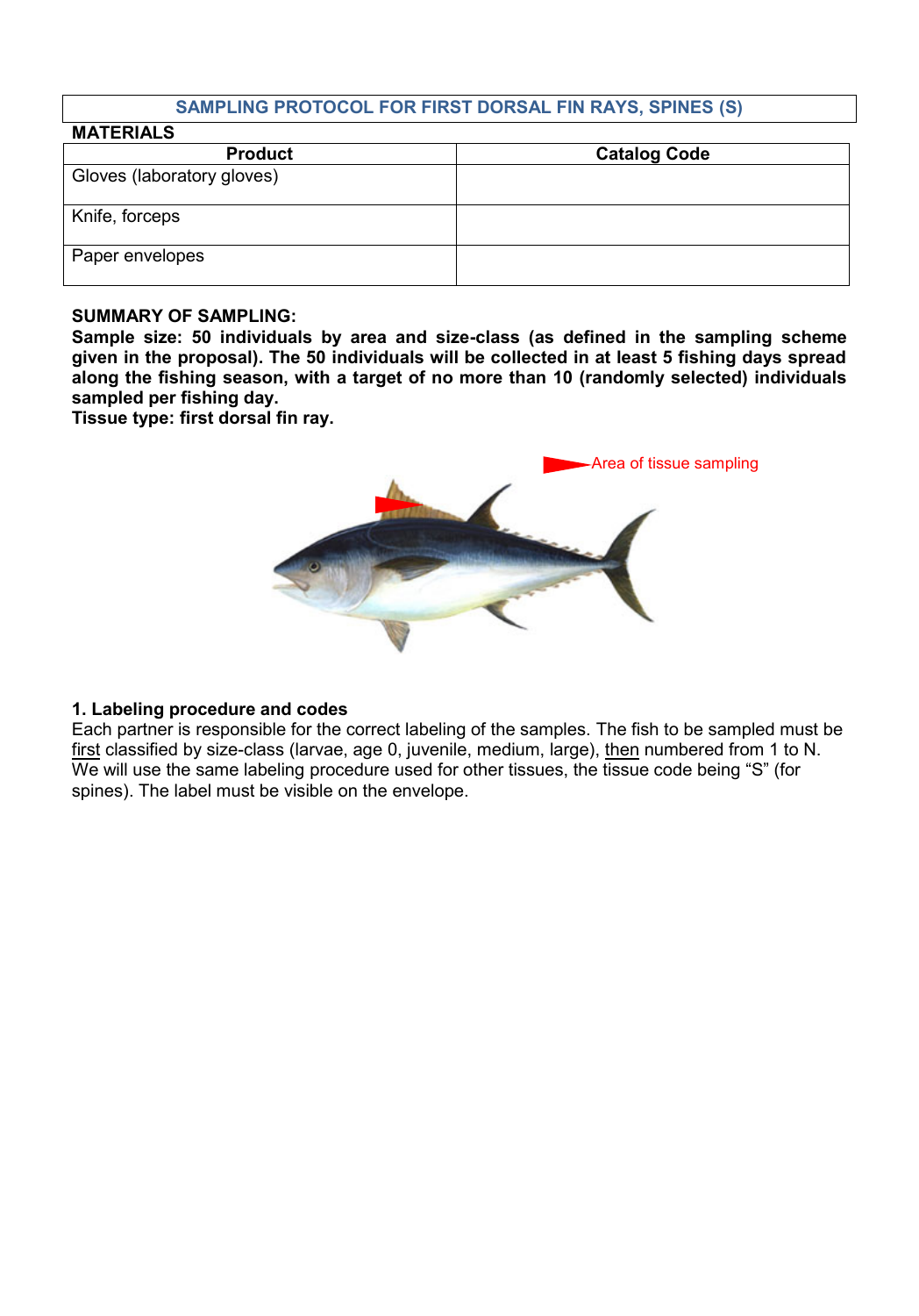## **SAMPLING PROTOCOL FOR FIRST DORSAL FIN RAYS, SPINES (S)**

| <b>MATERIALS</b>           |                     |
|----------------------------|---------------------|
| <b>Product</b>             | <b>Catalog Code</b> |
| Gloves (laboratory gloves) |                     |
| Knife, forceps             |                     |
| Paper envelopes            |                     |

#### **SUMMARY OF SAMPLING:**

**Sample size: 50 individuals by area and size-class (as defined in the sampling scheme given in the proposal). The 50 individuals will be collected in at least 5 fishing days spread along the fishing season, with a target of no more than 10 (randomly selected) individuals sampled per fishing day.**

**Tissue type: first dorsal fin ray.**



#### **1. Labeling procedure and codes**

Each partner is responsible for the correct labeling of the samples. The fish to be sampled must be first classified by size-class (larvae, age 0, juvenile, medium, large), then numbered from 1 to N. We will use the same labeling procedure used for other tissues, the tissue code being "S" (for spines). The label must be visible on the envelope.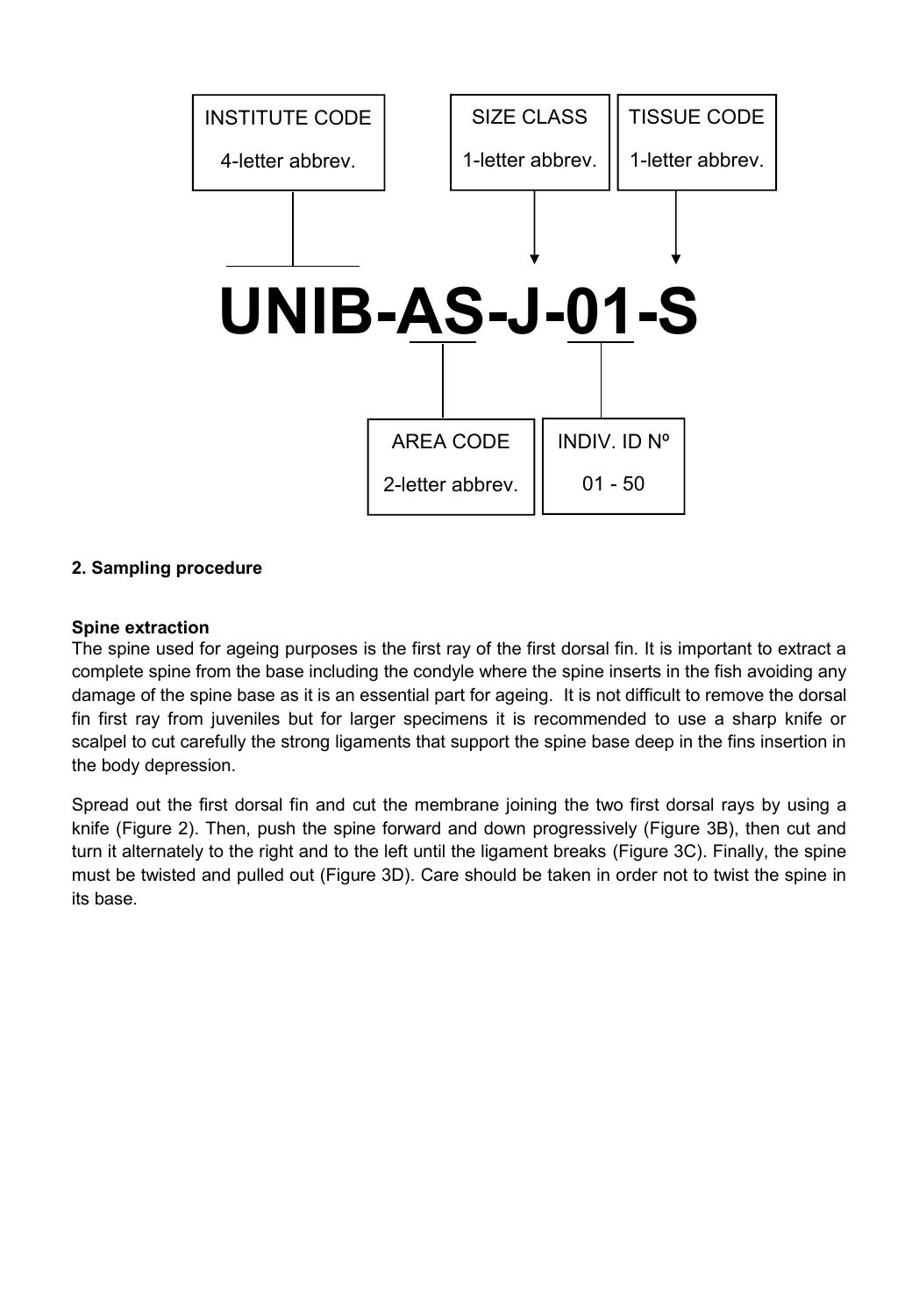

## **2. Sampling procedure**

#### **Spine extraction**

The spine used for ageing purposes is the first ray of the first dorsal fin. It is important to extract a complete spine from the base including the condyle where the spine inserts in the fish avoiding any damage of the spine base as it is an essential part for ageing. It is not difficult to remove the dorsal fin first ray from juveniles but for larger specimens it is recommended to use a sharp knife or scalpel to cut carefully the strong ligaments that support the spine base deep in the fins insertion in the body depression.

Spread out the first dorsal fin and cut the membrane joining the two first dorsal rays by using a knife (Figure 2). Then, push the spine forward and down progressively (Figure 3B), then cut and turn it alternately to the right and to the left until the ligament breaks (Figure 3C). Finally, the spine must be twisted and pulled out (Figure 3D). Care should be taken in order not to twist the spine in its base.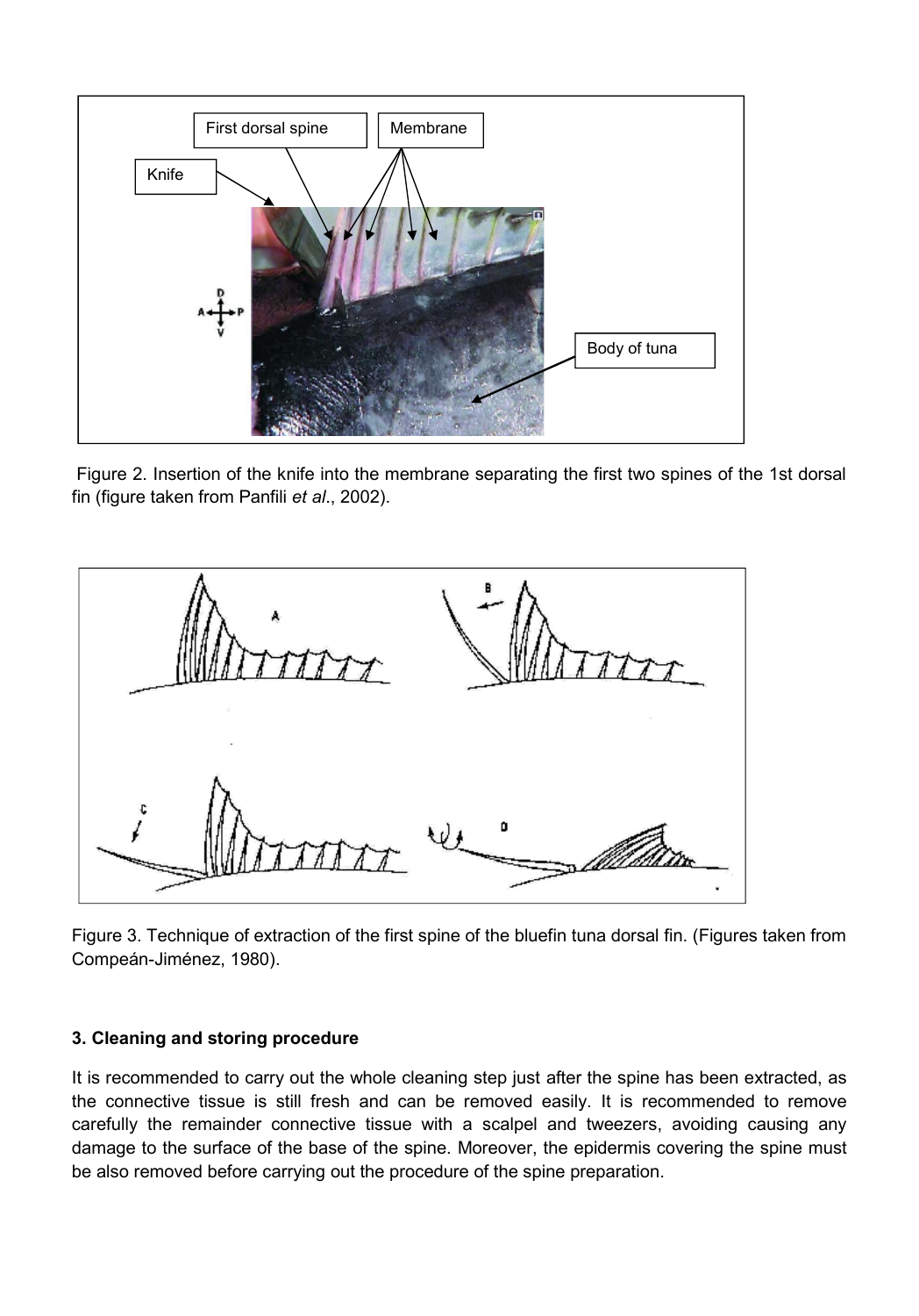

Figure 2. Insertion of the knife into the membrane separating the first two spines of the 1st dorsal fin (figure taken from Panfili *et al*., 2002).



Figure 3. Technique of extraction of the first spine of the bluefin tuna dorsal fin. (Figures taken from Compeán-Jiménez, 1980).

## **3. Cleaning and storing procedure**

It is recommended to carry out the whole cleaning step just after the spine has been extracted, as the connective tissue is still fresh and can be removed easily. It is recommended to remove carefully the remainder connective tissue with a scalpel and tweezers, avoiding causing any damage to the surface of the base of the spine. Moreover, the epidermis covering the spine must be also removed before carrying out the procedure of the spine preparation.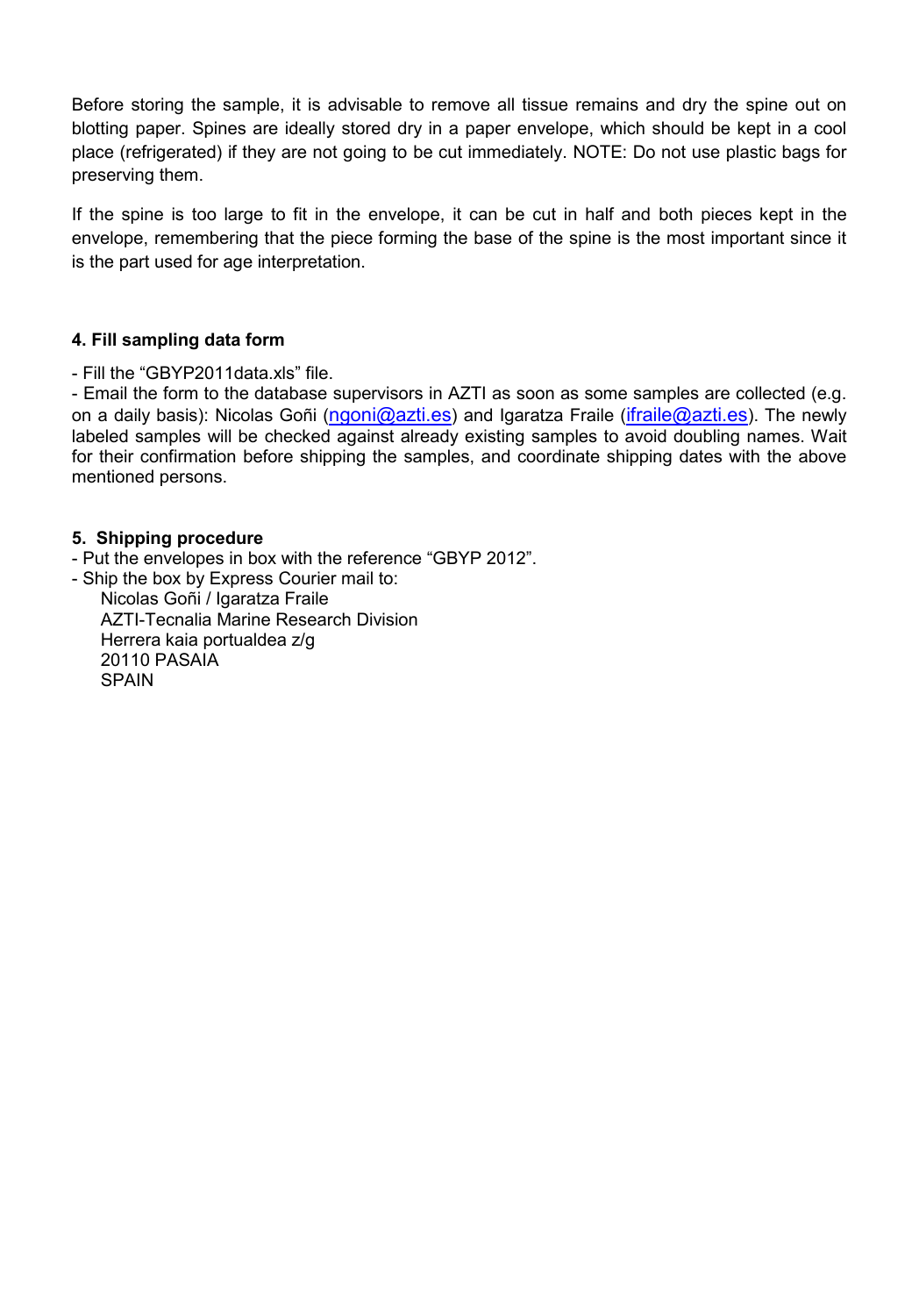Before storing the sample, it is advisable to remove all tissue remains and dry the spine out on blotting paper. Spines are ideally stored dry in a paper envelope, which should be kept in a cool place (refrigerated) if they are not going to be cut immediately. NOTE: Do not use plastic bags for preserving them.

If the spine is too large to fit in the envelope, it can be cut in half and both pieces kept in the envelope, remembering that the piece forming the base of the spine is the most important since it is the part used for age interpretation.

### **4. Fill sampling data form**

- Fill the "GBYP2011data.xls" file.

- Email the form to the database supervisors in AZTI as soon as some samples are collected (e.g. on a daily basis): Nicolas Goñi (ngoni@azti.es) and Igaratza Fraile (ifraile@azti.es). The newly labeled samples will be checked against already existing samples to avoid doubling names. Wait for their confirmation before shipping the samples, and coordinate shipping dates with the above mentioned persons.

### **5. Shipping procedure**

SPAIN

- Put the envelopes in box with the reference "GBYP 2012".

- Ship the box by Express Courier mail to: Nicolas Goñi / Igaratza Fraile AZTI-Tecnalia Marine Research Division Herrera kaia portualdea z/g 20110 PASAIA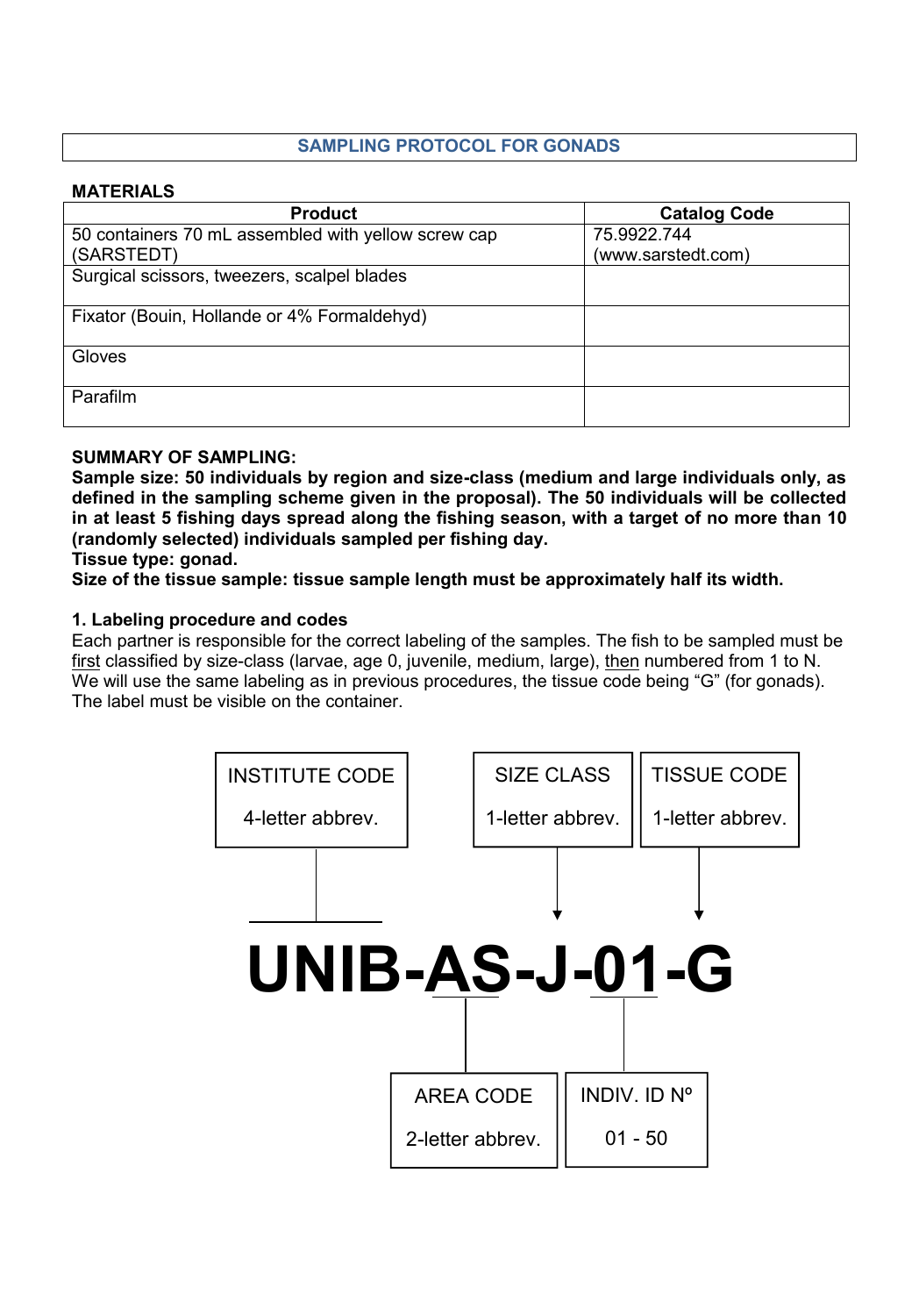# **SAMPLING PROTOCOL FOR GONADS**

### **MATERIALS**

| <b>Product</b>                                      | <b>Catalog Code</b> |
|-----------------------------------------------------|---------------------|
| 50 containers 70 mL assembled with yellow screw cap | 75.9922.744         |
| (SARSTEDT)                                          | (www.sarstedt.com)  |
| Surgical scissors, tweezers, scalpel blades         |                     |
| Fixator (Bouin, Hollande or 4% Formaldehyd)         |                     |
| Gloves                                              |                     |
| Parafilm                                            |                     |

### **SUMMARY OF SAMPLING:**

**Sample size: 50 individuals by region and size-class (medium and large individuals only, as defined in the sampling scheme given in the proposal). The 50 individuals will be collected in at least 5 fishing days spread along the fishing season, with a target of no more than 10 (randomly selected) individuals sampled per fishing day.**

**Tissue type: gonad.**

**Size of the tissue sample: tissue sample length must be approximately half its width.**

### **1. Labeling procedure and codes**

Each partner is responsible for the correct labeling of the samples. The fish to be sampled must be first classified by size-class (larvae, age 0, juvenile, medium, large), then numbered from 1 to N. We will use the same labeling as in previous procedures, the tissue code being "G" (for gonads). The label must be visible on the container.

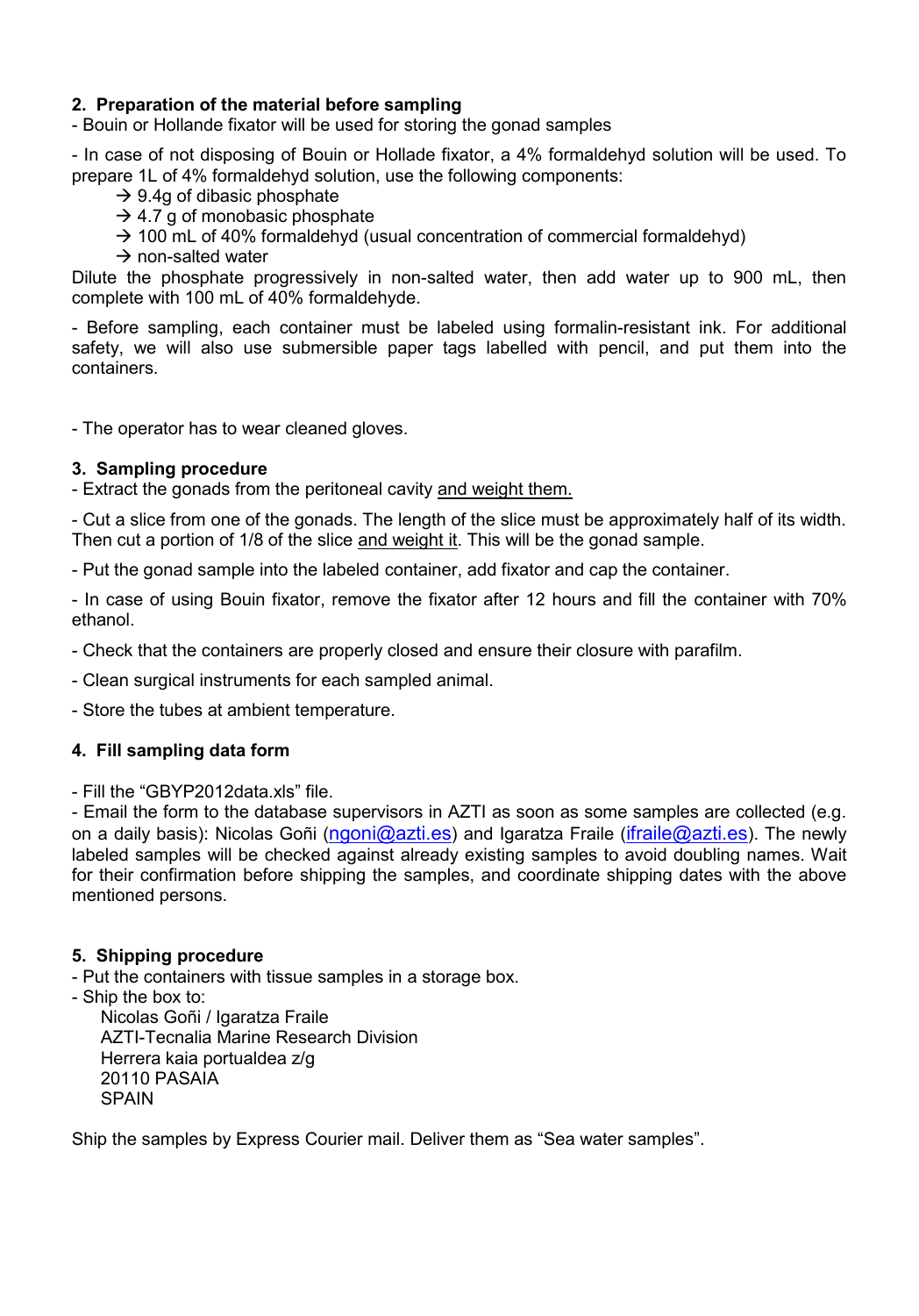## **2. Preparation of the material before sampling**

- Bouin or Hollande fixator will be used for storing the gonad samples

- In case of not disposing of Bouin or Hollade fixator, a 4% formaldehyd solution will be used. To prepare 1L of 4% formaldehyd solution, use the following components:

- $\rightarrow$  9.4g of dibasic phosphate
- $\rightarrow$  4.7 g of monobasic phosphate
- $\rightarrow$  100 mL of 40% formaldehyd (usual concentration of commercial formaldehyd)
- $\rightarrow$  non-salted water

Dilute the phosphate progressively in non-salted water, then add water up to 900 mL, then complete with 100 mL of 40% formaldehyde.

- Before sampling, each container must be labeled using formalin-resistant ink. For additional safety, we will also use submersible paper tags labelled with pencil, and put them into the containers.

- The operator has to wear cleaned gloves.

#### **3. Sampling procedure**

- Extract the gonads from the peritoneal cavity and weight them.

- Cut a slice from one of the gonads. The length of the slice must be approximately half of its width. Then cut a portion of 1/8 of the slice and weight it. This will be the gonad sample.

- Put the gonad sample into the labeled container, add fixator and cap the container.

- In case of using Bouin fixator, remove the fixator after 12 hours and fill the container with 70% ethanol.

- Check that the containers are properly closed and ensure their closure with parafilm.

- Clean surgical instruments for each sampled animal.

- Store the tubes at ambient temperature.

#### **4. Fill sampling data form**

- Fill the "GBYP2012data xls" file.

- Email the form to the database supervisors in AZTI as soon as some samples are collected (e.g. on a daily basis): Nicolas Goñi (ngoni@azti.es) and Igaratza Fraile (ifraile@azti.es). The newly labeled samples will be checked against already existing samples to avoid doubling names. Wait for their confirmation before shipping the samples, and coordinate shipping dates with the above mentioned persons.

#### **5. Shipping procedure**

- Put the containers with tissue samples in a storage box.

- Ship the box to:

Nicolas Goñi / Igaratza Fraile AZTI-Tecnalia Marine Research Division Herrera kaia portualdea z/g 20110 PASAIA **SPAIN** 

Ship the samples by Express Courier mail. Deliver them as "Sea water samples".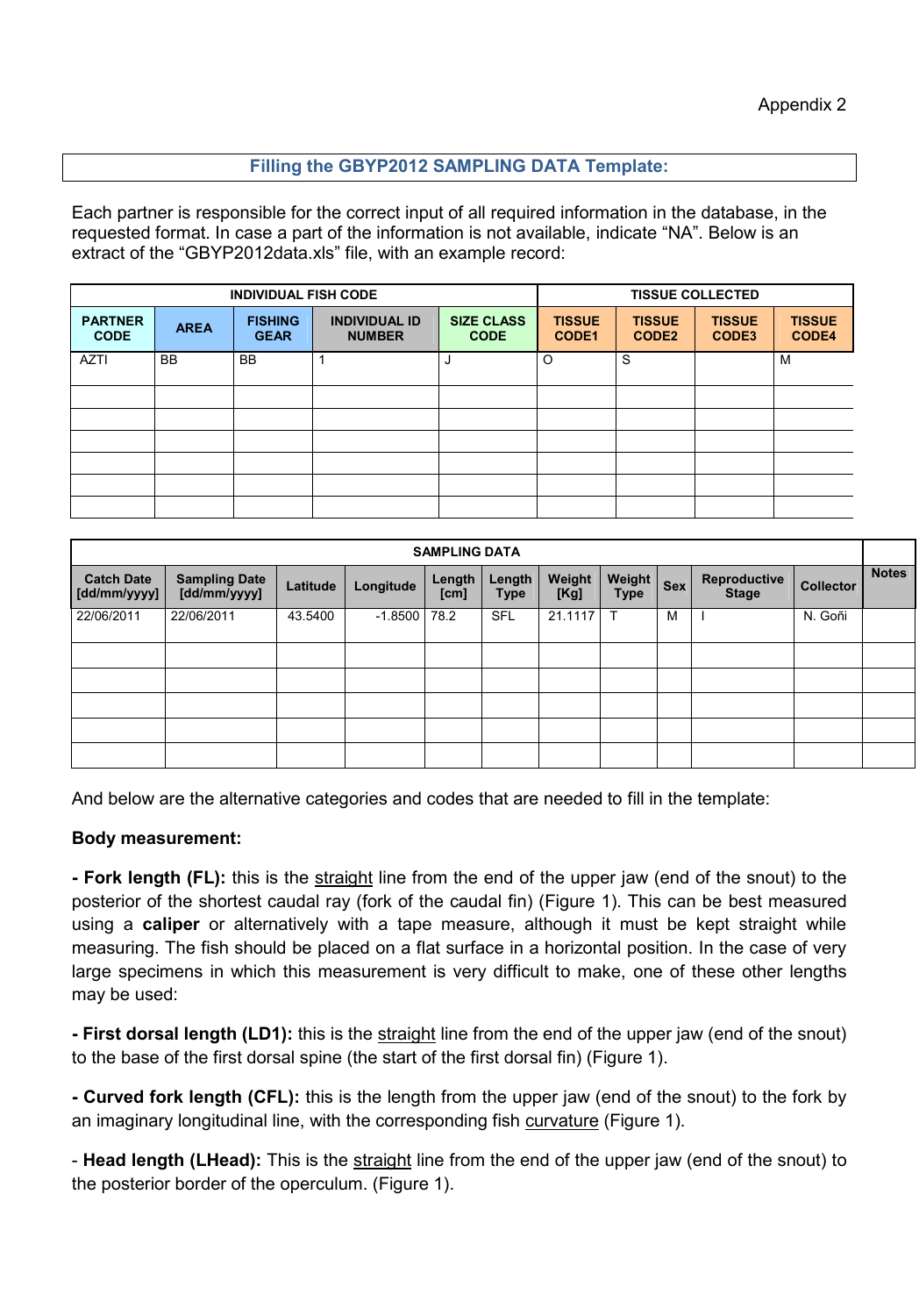## **Filling the GBYP2012 SAMPLING DATA Template:**

Each partner is responsible for the correct input of all required information in the database, in the requested format. In case a part of the information is not available, indicate "NA". Below is an extract of the "GBYP2012data.xls" file, with an example record:

| <b>INDIVIDUAL FISH CODE</b>   |             |                               |                                       | <b>TISSUE COLLECTED</b>          |                        |                                    |                        |                               |
|-------------------------------|-------------|-------------------------------|---------------------------------------|----------------------------------|------------------------|------------------------------------|------------------------|-------------------------------|
| <b>PARTNER</b><br><b>CODE</b> | <b>AREA</b> | <b>FISHING</b><br><b>GEAR</b> | <b>INDIVIDUAL ID</b><br><b>NUMBER</b> | <b>SIZE CLASS</b><br><b>CODE</b> | <b>TISSUE</b><br>CODE1 | <b>TISSUE</b><br>CODE <sub>2</sub> | <b>TISSUE</b><br>CODE3 | <b>TISSUE</b><br><b>CODE4</b> |
| <b>AZTI</b>                   | <b>BB</b>   | <b>BB</b>                     |                                       |                                  | $\circ$                | S                                  |                        | M                             |
|                               |             |                               |                                       |                                  |                        |                                    |                        |                               |
|                               |             |                               |                                       |                                  |                        |                                    |                        |                               |
|                               |             |                               |                                       |                                  |                        |                                    |                        |                               |
|                               |             |                               |                                       |                                  |                        |                                    |                        |                               |
|                               |             |                               |                                       |                                  |                        |                                    |                        |                               |
|                               |             |                               |                                       |                                  |                        |                                    |                        |                               |

| <b>SAMPLING DATA</b>              |                                      |          |           |                |                       |                |                       |            |                              |                  |              |
|-----------------------------------|--------------------------------------|----------|-----------|----------------|-----------------------|----------------|-----------------------|------------|------------------------------|------------------|--------------|
| <b>Catch Date</b><br>[dd/mm/yyyy] | <b>Sampling Date</b><br>[dd/mm/yyyy] | Latitude | Longitude | Length<br>[cm] | Length<br><b>Type</b> | Weight<br>[Kg] | Weight<br><b>Type</b> | <b>Sex</b> | Reproductive<br><b>Stage</b> | <b>Collector</b> | <b>Notes</b> |
| 22/06/2011                        | 22/06/2011                           | 43.5400  | $-1.8500$ | 78.2           | <b>SFL</b>            | 21.1117        | Т                     | M          |                              | N. Goñi          |              |
|                                   |                                      |          |           |                |                       |                |                       |            |                              |                  |              |
|                                   |                                      |          |           |                |                       |                |                       |            |                              |                  |              |
|                                   |                                      |          |           |                |                       |                |                       |            |                              |                  |              |
|                                   |                                      |          |           |                |                       |                |                       |            |                              |                  |              |
|                                   |                                      |          |           |                |                       |                |                       |            |                              |                  |              |

And below are the alternative categories and codes that are needed to fill in the template:

#### **Body measurement:**

**- Fork length (FL):** this is the straight line from the end of the upper jaw (end of the snout) to the posterior of the shortest caudal ray (fork of the caudal fin) (Figure 1). This can be best measured using a **caliper** or alternatively with a tape measure, although it must be kept straight while measuring. The fish should be placed on a flat surface in a horizontal position. In the case of very large specimens in which this measurement is very difficult to make, one of these other lengths may be used:

**- First dorsal length (LD1):** this is the straight line from the end of the upper jaw (end of the snout) to the base of the first dorsal spine (the start of the first dorsal fin) (Figure 1).

**- Curved fork length (CFL):** this is the length from the upper jaw (end of the snout) to the fork by an imaginary longitudinal line, with the corresponding fish curvature (Figure 1).

- **Head length (LHead):** This is the straight line from the end of the upper jaw (end of the snout) to the posterior border of the operculum. (Figure 1).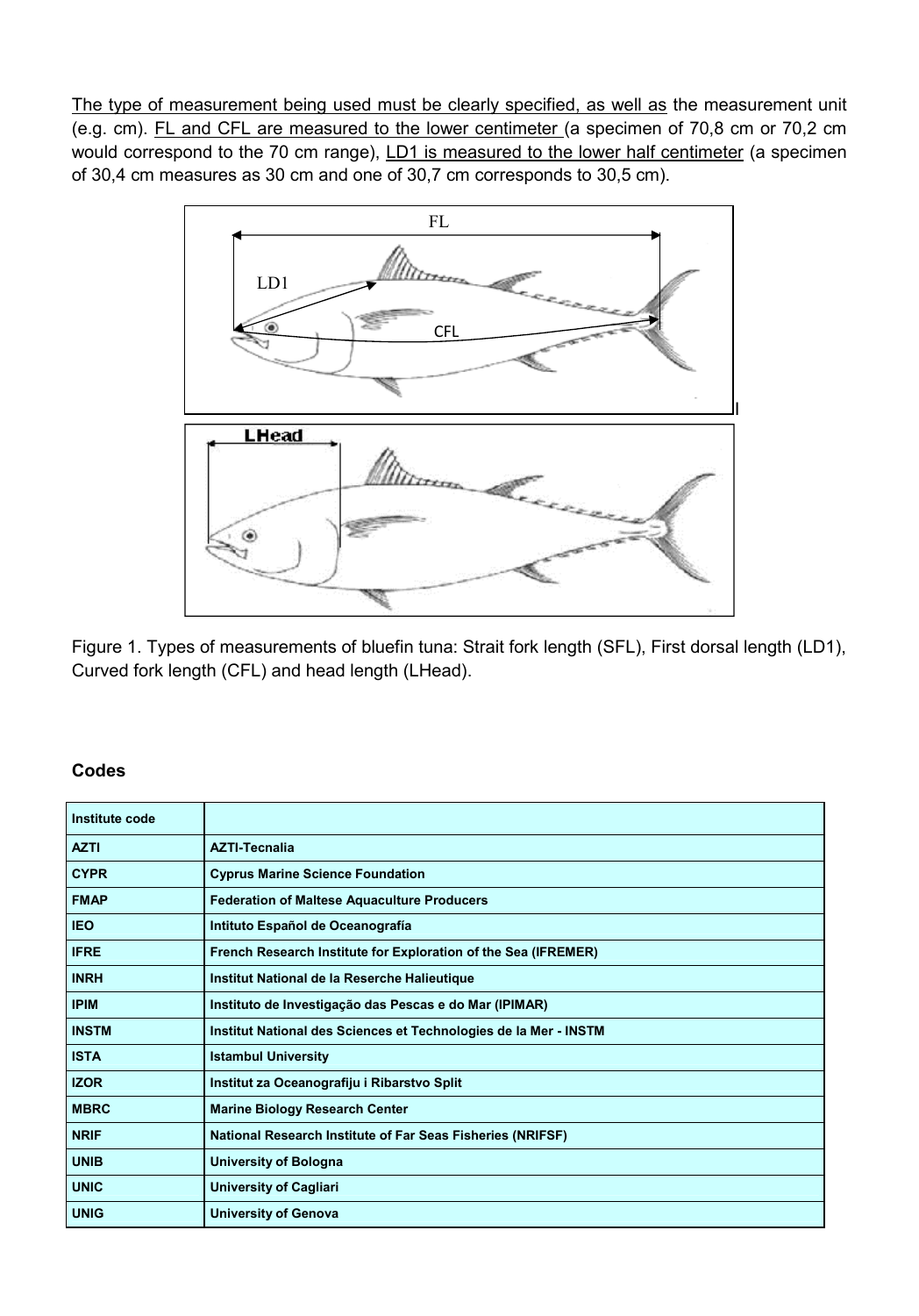The type of measurement being used must be clearly specified, as well as the measurement unit (e.g. cm). FL and CFL are measured to the lower centimeter (a specimen of 70,8 cm or 70,2 cm would correspond to the 70 cm range), LD1 is measured to the lower half centimeter (a specimen of 30,4 cm measures as 30 cm and one of 30,7 cm corresponds to 30,5 cm).



Figure 1. Types of measurements of bluefin tuna: Strait fork length (SFL), First dorsal length (LD1), Curved fork length (CFL) and head length (LHead).

#### **Codes**

| Institute code |                                                                   |
|----------------|-------------------------------------------------------------------|
| <b>AZTI</b>    | <b>AZTI-Tecnalia</b>                                              |
| <b>CYPR</b>    | <b>Cyprus Marine Science Foundation</b>                           |
| <b>FMAP</b>    | <b>Federation of Maltese Aquaculture Producers</b>                |
| <b>IEO</b>     | Intituto Español de Oceanografía                                  |
| <b>IFRE</b>    | French Research Institute for Exploration of the Sea (IFREMER)    |
| <b>INRH</b>    | Institut National de la Reserche Halieutique                      |
| <b>IPIM</b>    | Instituto de Investigação das Pescas e do Mar (IPIMAR)            |
| <b>INSTM</b>   | Institut National des Sciences et Technologies de la Mer - INSTM  |
| <b>ISTA</b>    | <b>Istambul University</b>                                        |
| <b>IZOR</b>    | Institut za Oceanografiju i Ribarstvo Split                       |
| <b>MBRC</b>    | <b>Marine Biology Research Center</b>                             |
| <b>NRIF</b>    | <b>National Research Institute of Far Seas Fisheries (NRIFSF)</b> |
| <b>UNIB</b>    | <b>University of Bologna</b>                                      |
| <b>UNIC</b>    | <b>University of Cagliari</b>                                     |
| <b>UNIG</b>    | <b>University of Genova</b>                                       |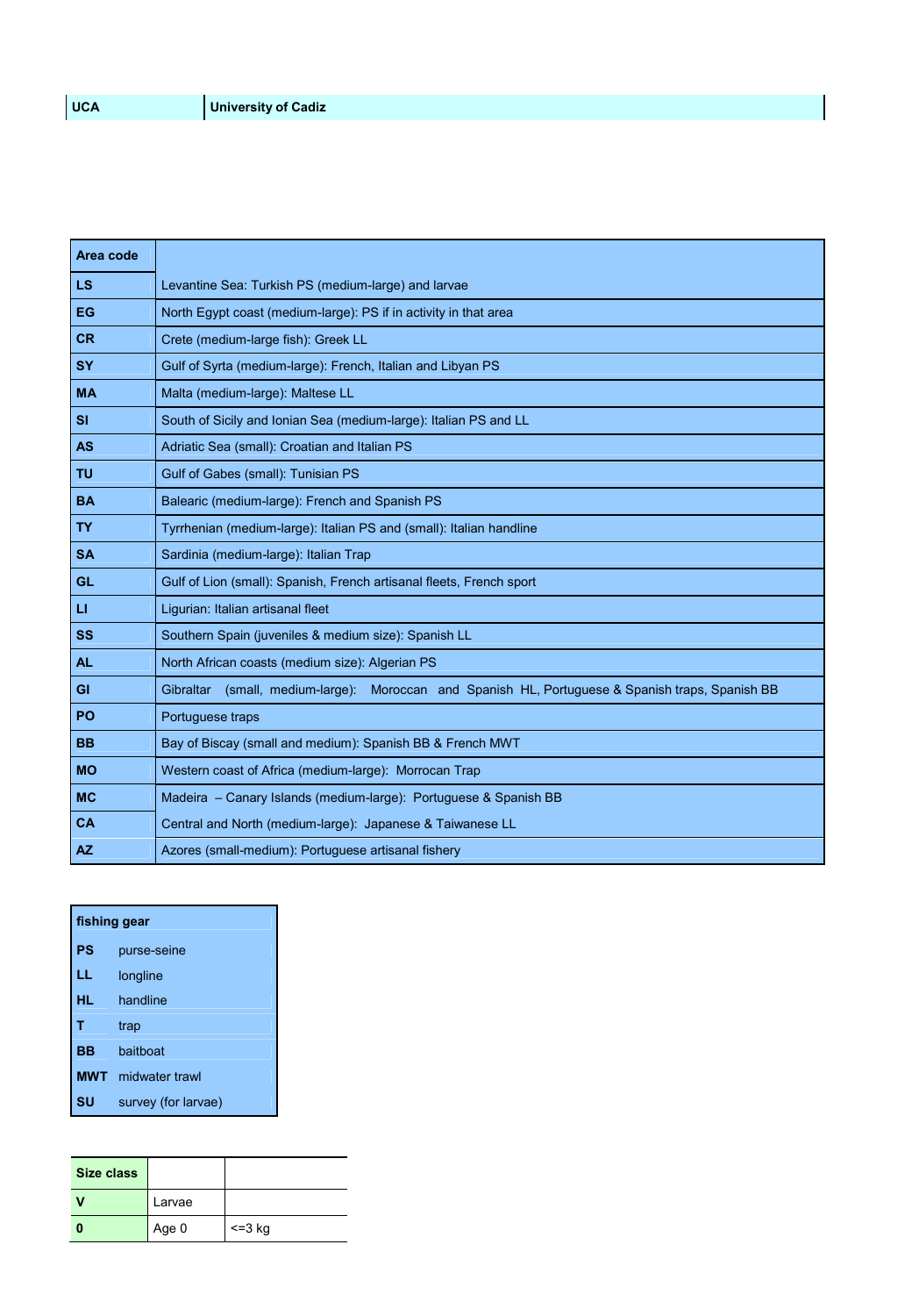| Area code    |                                                                                                  |
|--------------|--------------------------------------------------------------------------------------------------|
| <b>LS</b>    | Levantine Sea: Turkish PS (medium-large) and larvae                                              |
| EG           | North Egypt coast (medium-large): PS if in activity in that area                                 |
| <b>CR</b>    | Crete (medium-large fish): Greek LL                                                              |
| <b>SY</b>    | Gulf of Syrta (medium-large): French, Italian and Libyan PS                                      |
| <b>MA</b>    | Malta (medium-large): Maltese LL                                                                 |
| <b>SI</b>    | South of Sicily and Ionian Sea (medium-large): Italian PS and LL                                 |
| <b>AS</b>    | Adriatic Sea (small): Croatian and Italian PS                                                    |
| <b>TU</b>    | Gulf of Gabes (small): Tunisian PS                                                               |
| <b>BA</b>    | Balearic (medium-large): French and Spanish PS                                                   |
| <b>TY</b>    | Tyrrhenian (medium-large): Italian PS and (small): Italian handline                              |
| <b>SA</b>    | Sardinia (medium-large): Italian Trap                                                            |
| <b>GL</b>    | Gulf of Lion (small): Spanish, French artisanal fleets, French sport                             |
| $\mathbf{H}$ | Ligurian: Italian artisanal fleet                                                                |
| <b>SS</b>    | Southern Spain (juveniles & medium size): Spanish LL                                             |
| <b>AL</b>    | North African coasts (medium size): Algerian PS                                                  |
| <b>GI</b>    | Gibraltar (small, medium-large): Moroccan and Spanish HL, Portuguese & Spanish traps, Spanish BB |
| PO           | Portuguese traps                                                                                 |
| <b>BB</b>    | Bay of Biscay (small and medium): Spanish BB & French MWT                                        |
| <b>MO</b>    | Western coast of Africa (medium-large): Morrocan Trap                                            |
| <b>MC</b>    | Madeira - Canary Islands (medium-large): Portuguese & Spanish BB                                 |
| <b>CA</b>    | Central and North (medium-large): Japanese & Taiwanese LL                                        |
| <b>AZ</b>    | Azores (small-medium): Portuguese artisanal fishery                                              |

|    | fishing gear              |  |  |  |
|----|---------------------------|--|--|--|
| PS | purse-seine               |  |  |  |
| LL | longline                  |  |  |  |
| HL | handline                  |  |  |  |
| т  | trap                      |  |  |  |
| BB | haithoat                  |  |  |  |
|    | <b>MWT</b> midwater trawl |  |  |  |
| SU | survey (for larvae)       |  |  |  |

| Size class |        |         |
|------------|--------|---------|
|            | Larvae |         |
|            | Age 0  | $=3$ kg |